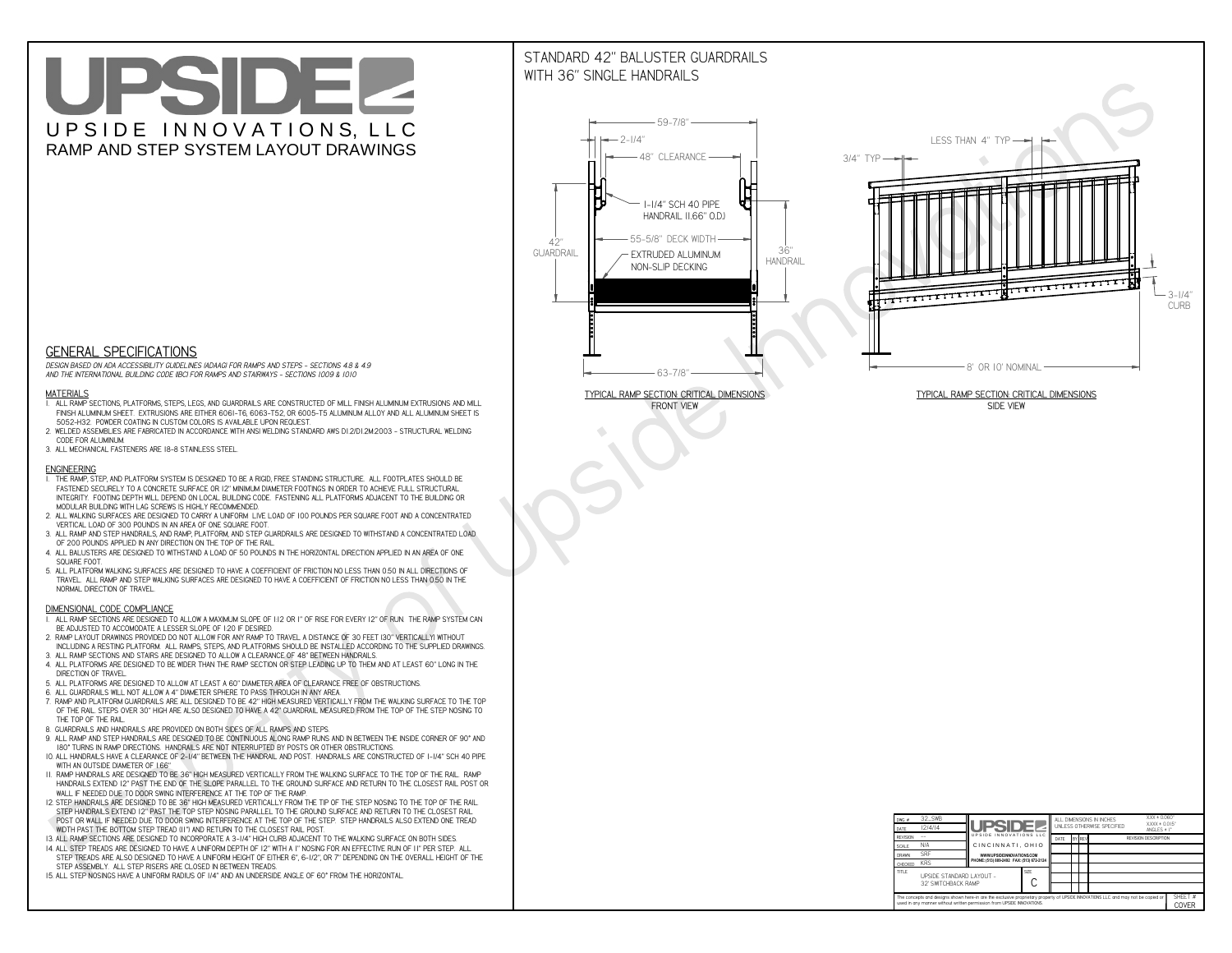# UPSIDEL UPSIDE INNOVATIONS, LLC RAMP AND STEP SYSTEM LAYOUT DRAWINGS

## STANDARD 42" BALUSTER GUARDRAILSWITH 36" SINGLE HANDRAILS

**FRONT VIEW**





**GENERAL SPECIFICATIONS**

 *DESIGN BASED ON ADA ACCESSIBILITY GUIDELINES (ADAAG) FOR RAMPS AND STEPS - SECTIONS 4.8 & 4.9AND THE INTERNATIONAL BUILDING CODE (IBC) FOR RAMPS AND STAIRWAYS - SECTIONS 1009 & 1010*

#### **MATERIALS**

- **1. ALL RAMP SECTIONS, PLATFORMS, STEPS, LEGS, AND GUARDRAILS ARE CONSTRUCTED OF MILL FINISH ALUMINUM EXTRUSIONS AND MILL FINISH ALUMINUM SHEET. EXTRUSIONS ARE EITHER 6061-T6, 6063-T52, OR 6005-T5 ALUMINUM ALLOY AND ALL ALUMINUM SHEET IS 5052-H32. POWDER COATING IN CUSTOM COLORS IS AVAILABLE UPON REQUEST.**
- **2. WELDED ASSEMBLIES ARE FABRICATED IN ACCORDANCE WITH ANSI WELDING STANDARD AWS D1.2/D1.2M:2003 STRUCTURAL WELDING CODE FOR ALUMINUM.**
- **3. ALL MECHANICAL FASTENERS ARE 18-8 STAINLESS STEEL.**

#### **ENGINEERING**

- **1. THE RAMP, STEP, AND PLATFORM SYSTEM IS DESIGNED TO BE A RIGID, FREE STANDING STRUCTURE. ALL FOOTPLATES SHOULD BE FASTENED SECURELY TO A CONCRETE SURFACE OR 12" MINIMUM DIAMETER FOOTINGS IN ORDER TO ACHIEVE FULL STRUCTURAL INTEGRITY. FOOTING DEPTH WILL DEPEND ON LOCAL BUILDING CODE. FASTENING ALL PLATFORMS ADJACENT TO THE BUILDING OR MODULAR BUILDING WITH LAG SCREWS IS HIGHLY RECOMMENDED.**
- **2. ALL WALKING SURFACES ARE DESIGNED TO CARRY A UNIFORM LIVE LOAD OF 100 POUNDS PER SQUARE FOOT AND A CONCENTRATED VERTICAL LOAD OF 300 POUNDS IN AN AREA OF ONE SQUARE FOOT.**
- **3. ALL RAMP AND STEP HANDRAILS, AND RAMP, PLATFORM, AND STEP GUARDRAILS ARE DESIGNED TO WITHSTAND A CONCENTRATED LOAD OF 200 POUNDS APPLIED IN ANY DIRECTION ON THE TOP OF THE RAIL.**
- **4. ALL BALUSTERS ARE DESIGNED TO WITHSTAND A LOAD OF 50 POUNDS IN THE HORIZONTAL DIRECTION APPLIED IN AN AREA OF ONE SQUARE FOOT.**
- **5. ALL PLATFORM WALKING SURFACES ARE DESIGNED TO HAVE A COEFFICIENT OF FRICTION NO LESS THAN 0.50 IN ALL DIRECTIONS OF TRAVEL. ALL RAMP AND STEP WALKING SURFACES ARE DESIGNED TO HAVE A COEFFICIENT OF FRICTION NO LESS THAN 0.50 IN THE NORMAL DIRECTION OF TRAVEL.**

| $DWG.$ #<br>DATE                                                                                                                                                                                            | 32_SWB<br>12/4/14                               | <b>UPSIDEZ</b>                            |  | ALL DIMENSIONS IN INCHES<br>UNLESS OTHERWISE SPECIFIED |                                       |  |  | XXX ± 0.060"<br>$XXX \pm 0.015$ "<br>ANGLES $\pm$ 1° |                         |
|-------------------------------------------------------------------------------------------------------------------------------------------------------------------------------------------------------------|-------------------------------------------------|-------------------------------------------|--|--------------------------------------------------------|---------------------------------------|--|--|------------------------------------------------------|-------------------------|
| <b>REVISION</b>                                                                                                                                                                                             |                                                 | UPSIDE INNOVATIONS LLC                    |  | DATE                                                   | BY REV<br><b>REVISION DESCRIPTION</b> |  |  |                                                      |                         |
| <b>SCALE</b>                                                                                                                                                                                                | N/A                                             | CINCINNATI, OHIO                          |  |                                                        |                                       |  |  |                                                      |                         |
| <b>DRAWN</b>                                                                                                                                                                                                | <b>SRF</b>                                      | WWW.UPSIDEINNOVATIONS.COM                 |  |                                                        |                                       |  |  |                                                      |                         |
| CHECKED                                                                                                                                                                                                     | <b>KRS</b>                                      | PHONE: (513) 889-2492 FAX: (513) 672-2124 |  |                                                        |                                       |  |  |                                                      |                         |
| <b>TITLE</b>                                                                                                                                                                                                | UPSIDE STANDARD LAYOUT -<br>32' SWITCHBACK RAMP | <b>SIZE</b>                               |  |                                                        |                                       |  |  |                                                      |                         |
| The concepts and designs shown here-in are the exclusive proprietary property of UPSIDE INNOVATIONS LLC. and may not be copied or<br>used in any manner without written permission from UPSIDE INNOVATIONS. |                                                 |                                           |  |                                                        |                                       |  |  |                                                      | SHEET #<br><b>COVER</b> |

### **DIMENSIONAL CODE COMPLIANCE**

- **1. ALL RAMP SECTIONS ARE DESIGNED TO ALLOW A MAXIMUM SLOPE OF 1:12 OR 1" OF RISE FOR EVERY 12" OF RUN. THE RAMP SYSTEM CAN BE ADJUSTED TO ACCOMODATE A LESSER SLOPE OF 1:20 IF DESIRED.**
- **2. RAMP LAYOUT DRAWINGS PROVIDED DO NOT ALLOW FOR ANY RAMP TO TRAVEL A DISTANCE OF 30 FEET (30" VERTICALLY) WITHOUT INCLUDING A RESTING PLATFORM. ALL RAMPS, STEPS, AND PLATFORMS SHOULD BE INSTALLED ACCORDING TO THE SUPPLIED DRAWINGS.**
- **3. ALL RAMP SECTIONS AND STAIRS ARE DESIGNED TO ALLOW A CLEARANCE OF 48" BETWEEN HANDRAILS.**
- **4. ALL PLATFORMS ARE DESIGNED TO BE WIDER THAN THE RAMP SECTION OR STEP LEADING UP TO THEM AND AT LEAST 60" LONG IN THE DIRECTION OF TRAVEL.**
- **5. ALL PLATFORMS ARE DESIGNED TO ALLOW AT LEAST A 60" DIAMETER AREA OF CLEARANCE FREE OF OBSTRUCTIONS.**
- **6. ALL GUARDRAILS WILL NOT ALLOW A 4" DIAMETER SPHERE TO PASS THROUGH IN ANY AREA.**
- **7. RAMP AND PLATFORM GUARDRAILS ARE ALL DESIGNED TO BE 42" HIGH MEASURED VERTICALLY FROM THE WALKING SURFACE TO THE TOP OF THE RAIL. STEPS OVER 30" HIGH ARE ALSO DESIGNED TO HAVE A 42" GUARDRAIL MEASURED FROM THE TOP OF THE STEP NOSING TO THE TOP OF THE RAIL.**
- **8. GUARDRAILS AND HANDRAILS ARE PROVIDED ON BOTH SIDES OF ALL RAMPS AND STEPS.**
- **9. ALL RAMP AND STEP HANDRAILS ARE DESIGNED TO BE CONTINUOUS ALONG RAMP RUNS AND IN BETWEEN THE INSIDE CORNER OF 90° AND 180° TURNS IN RAMP DIRECTIONS. HANDRAILS ARE NOT INTERRUPTED BY POSTS OR OTHER OBSTRUCTIONS.**
- **10. ALL HANDRAILS HAVE A CLEARANCE OF 2-1/4" BETWEEN THE HANDRAIL AND POST. HANDRAILS ARE CONSTRUCTED OF 1-1/4" SCH 40 PIPE WITH AN OUTSIDE DIAMETER OF 1.66"**
- **11. RAMP HANDRAILS ARE DESIGNED TO BE 36" HIGH MEASURED VERTICALLY FROM THE WALKING SURFACE TO THE TOP OF THE RAIL. RAMP HANDRAILS EXTEND 12" PAST THE END OF THE SLOPE PARALLEL TO THE GROUND SURFACE AND RETURN TO THE CLOSEST RAIL POST OR WALL IF NEEDED DUE TO DOOR SWING INTERFERENCE AT THE TOP OF THE RAMP.**
- **12. STEP HANDRAILS ARE DESIGNED TO BE 36" HIGH MEASURED VERTICALLY FROM THE TIP OF THE STEP NOSING TO THE TOP OF THE RAIL. STEP HANDRAILS EXTEND 12" PAST THE TOP STEP NOSING PARALLEL TO THE GROUND SURFACE AND RETURN TO THE CLOSEST RAIL POST OR WALL IF NEEDED DUE TO DOOR SWING INTERFERENCE AT THE TOP OF THE STEP. STEP HANDRAILS ALSO EXTEND ONE TREAD**
- **WIDTH PAST THE BOTTOM STEP TREAD (11") AND RETURN TO THE CLOSEST RAIL POST.**
- **13. ALL RAMP SECTIONS ARE DESIGNED TO INCORPORATE A 3-1/4" HIGH CURB ADJACENT TO THE WALKING SURFACE ON BOTH SIDES.**
- **14. ALL STEP TREADS ARE DESIGNED TO HAVE A UNIFORM DEPTH OF 12" WITH A 1" NOSING FOR AN EFFECTIVE RUN OF 11" PER STEP. ALL STEP TREADS ARE ALSO DESIGNED TO HAVE A UNIFORM HEIGHT OF EITHER 6", 6-1/2", OR 7" DEPENDING ON THE OVERALL HEIGHT OF THE STEP ASSEMBLY. ALL STEP RISERS ARE CLOSED IN BETWEEN TREADS.**
- **15. ALL STEP NOSINGS HAVE A UNIFORM RADIUS OF 1/4" AND AN UNDERSIDE ANGLE OF 60° FROM THE HORIZONTAL.**